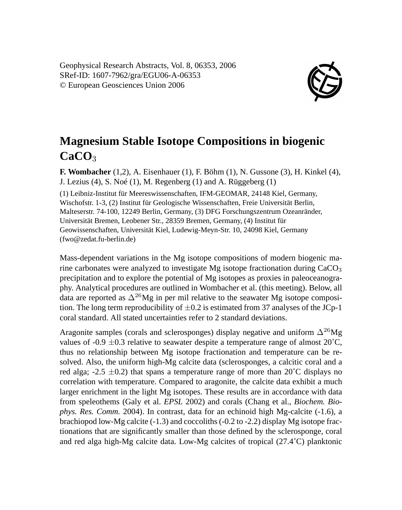Geophysical Research Abstracts, Vol. 8, 06353, 2006 SRef-ID: 1607-7962/gra/EGU06-A-06353 © European Geosciences Union 2006



## **Magnesium Stable Isotope Compositions in biogenic CaCO**<sup>3</sup>

**F. Wombacher** (1,2), A. Eisenhauer (1), F. Böhm (1), N. Gussone (3), H. Kinkel (4), J. Lezius (4), S. Noé (1), M. Regenberg (1) and A. Rüggeberg (1) (1) Leibniz-Institut für Meereswissenschaften, IFM-GEOMAR, 24148 Kiel, Germany, Wischofstr. 1-3, (2) Institut für Geologische Wissenschaften, Freie Universität Berlin, Malteserstr. 74-100, 12249 Berlin, Germany, (3) DFG Forschungszentrum Ozeanränder, Universität Bremen, Leobener Str., 28359 Bremen, Germany, (4) Institut für Geowissenschaften, Universität Kiel, Ludewig-Meyn-Str. 10, 24098 Kiel, Germany (fwo@zedat.fu-berlin.de)

Mass-dependent variations in the Mg isotope compositions of modern biogenic marine carbonates were analyzed to investigate Mg isotope fractionation during  $CaCO<sub>3</sub>$ precipitation and to explore the potential of Mg isotopes as proxies in paleoceanography. Analytical procedures are outlined in Wombacher et al. (this meeting). Below, all data are reported as  $\Delta^{26}Mg$  in per mil relative to the seawater Mg isotope composition. The long term reproducibility of  $\pm 0.2$  is estimated from 37 analyses of the JCp-1 coral standard. All stated uncertainties refer to 2 standard deviations.

Aragonite samples (corals and sclerosponges) display negative and uniform  $\Delta^{26}Mg$ values of -0.9  $\pm$ 0.3 relative to seawater despite a temperature range of almost 20 $^{\circ}$ C, thus no relationship between Mg isotope fractionation and temperature can be resolved. Also, the uniform high-Mg calcite data (sclerosponges, a calcitic coral and a red alga; -2.5  $\pm$ 0.2) that spans a temperature range of more than 20<sup>°</sup>C displays no correlation with temperature. Compared to aragonite, the calcite data exhibit a much larger enrichment in the light Mg isotopes. These results are in accordance with data from speleothems (Galy et al. *EPSL* 2002) and corals (Chang et al., *Biochem. Biophys. Res. Comm.* 2004). In contrast, data for an echinoid high Mg-calcite (-1.6), a brachiopod low-Mg calcite (-1.3) and coccoliths (-0.2 to -2.2) display Mg isotope fractionations that are significantly smaller than those defined by the sclerosponge, coral and red alga high-Mg calcite data. Low-Mg calcites of tropical (27.4˚C) planktonic